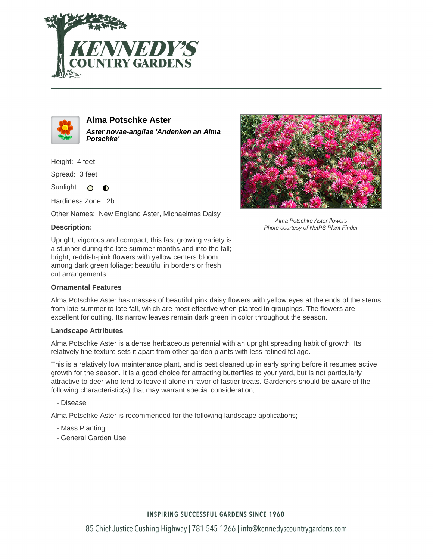



# **Alma Potschke Aster Aster novae-angliae 'Andenken an Alma**

**Potschke'**

Height: 4 feet

Spread: 3 feet

Sunlight: O  $\bullet$ 

Hardiness Zone: 2b

Other Names: New England Aster, Michaelmas Daisy



Alma Potschke Aster flowers Photo courtesy of NetPS Plant Finder

Upright, vigorous and compact, this fast growing variety is a stunner during the late summer months and into the fall; bright, reddish-pink flowers with yellow centers bloom among dark green foliage; beautiful in borders or fresh cut arrangements

## **Ornamental Features**

Alma Potschke Aster has masses of beautiful pink daisy flowers with yellow eyes at the ends of the stems from late summer to late fall, which are most effective when planted in groupings. The flowers are excellent for cutting. Its narrow leaves remain dark green in color throughout the season.

#### **Landscape Attributes**

Alma Potschke Aster is a dense herbaceous perennial with an upright spreading habit of growth. Its relatively fine texture sets it apart from other garden plants with less refined foliage.

This is a relatively low maintenance plant, and is best cleaned up in early spring before it resumes active growth for the season. It is a good choice for attracting butterflies to your yard, but is not particularly attractive to deer who tend to leave it alone in favor of tastier treats. Gardeners should be aware of the following characteristic(s) that may warrant special consideration;

- Disease

Alma Potschke Aster is recommended for the following landscape applications;

- Mass Planting
- General Garden Use

## **INSPIRING SUCCESSFUL GARDENS SINCE 1960**

85 Chief Justice Cushing Highway | 781-545-1266 | info@kennedyscountrygardens.com